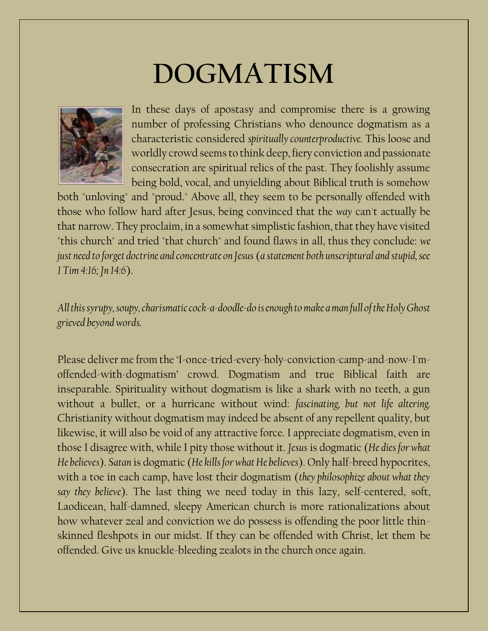## **DOGMATISM**



In these days of apostasy and compromise there is a growing number of professing Christians who denounce dogmatism as a characteristic considered *spiritually counterproductive.* This loose and worldly crowd seemsto think deep, fiery conviction and passionate consecration are spiritual relics of the past. They foolishly assume being bold, vocal, and unyielding about Biblical truth is somehow

both "unloving" and "proud." Above all, they seem to be personally offended with those who follow hard after Jesus, being convinced that the *way* can't actually be that narrow. They proclaim, in a somewhat simplistic fashion, that they have visited "this church" and tried "that church" and found flaws in all, thus they conclude: *we just need to forget doctrine and concentrate on Jesus* (*a statement both unscriptural and stupid, see 1 Tim 4:16; Jn 14:6*).

*All this syrupy, soupy, charismatic cock-a-doodle-do is enough to make a man full of the Holy Ghost grieved beyond words.*

Please deliver me from the 'I-once-tried-every-holy-conviction-camp-and-now-I'moffended-with-dogmatism' crowd. Dogmatism and true Biblical faith are inseparable. Spirituality without dogmatism is like a shark with no teeth, a gun without a bullet, or a hurricane without wind: *fascinating, but not life altering.* Christianity without dogmatism may indeed be absent of any repellent quality, but likewise, it will also be void of any attractive force. I appreciate dogmatism, even in those I disagree with, while I pity those without it. *Jesus* is dogmatic (*He dies for what He believes*). *Satan* is dogmatic (*He kills for what He believes*). Only half-breed hypocrites, with a toe in each camp, have lost their dogmatism (*they philosophize about what they say they believe*). The last thing we need today in this lazy, self-centered, soft, Laodicean, half-damned, sleepy American church is more rationalizations about how whatever zeal and conviction we do possess is offending the poor little thinskinned fleshpots in our midst. If they can be offended with Christ, let them be offended. Give us knuckle-bleeding zealots in the church once again.